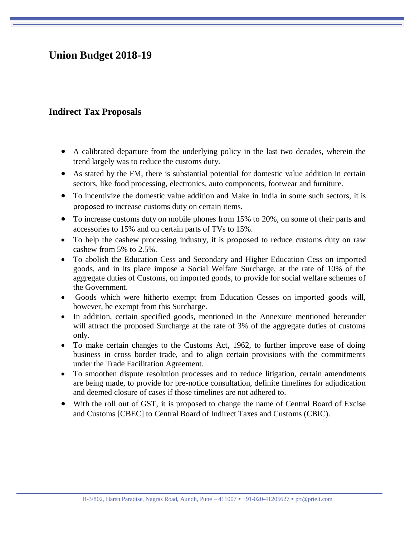# **Union Budget 2018-19**

## **Indirect Tax Proposals**

- A calibrated departure from the underlying policy in the last two decades, wherein the trend largely was to reduce the customs duty.
- As stated by the FM, there is substantial potential for domestic value addition in certain sectors, like food processing, electronics, auto components, footwear and furniture.
- To incentivize the domestic value addition and Make in India in some such sectors, it is proposed to increase customs duty on certain items.
- To increase customs duty on mobile phones from 15% to 20%, on some of their parts and accessories to 15% and on certain parts of TVs to 15%.
- To help the cashew processing industry, it is proposed to reduce customs duty on raw cashew from 5% to 2.5%.
- To abolish the Education Cess and Secondary and Higher Education Cess on imported goods, and in its place impose a Social Welfare Surcharge, at the rate of 10% of the aggregate duties of Customs, on imported goods, to provide for social welfare schemes of the Government.
- Goods which were hitherto exempt from Education Cesses on imported goods will, however, be exempt from this Surcharge.
- In addition, certain specified goods, mentioned in the Annexure mentioned hereunder will attract the proposed Surcharge at the rate of 3% of the aggregate duties of customs only.
- To make certain changes to the Customs Act, 1962, to further improve ease of doing business in cross border trade, and to align certain provisions with the commitments under the Trade Facilitation Agreement.
- To smoothen dispute resolution processes and to reduce litigation, certain amendments are being made, to provide for pre-notice consultation, definite timelines for adjudication and deemed closure of cases if those timelines are not adhered to.
- With the roll out of GST, it is proposed to change the name of Central Board of Excise and Customs [CBEC] to Central Board of Indirect Taxes and Customs (CBIC).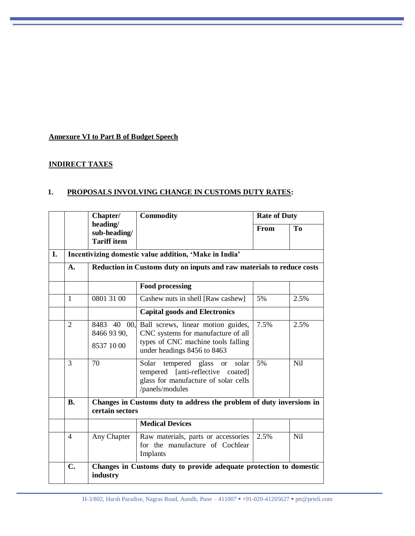#### **Annexure VI to Part B of Budget Speech**

#### **INDIRECT TAXES**

#### **1. PROPOSALS INVOLVING CHANGE IN CUSTOMS DUTY RATES:**

|    |                | Chapter/                                       | <b>Commodity</b>                                                                                                                              | <b>Rate of Duty</b> |                |
|----|----------------|------------------------------------------------|-----------------------------------------------------------------------------------------------------------------------------------------------|---------------------|----------------|
|    |                | heading/<br>sub-heading/<br><b>Tariff item</b> |                                                                                                                                               | From                | T <sub>0</sub> |
| I. |                |                                                | Incentivizing domestic value addition, 'Make in India'                                                                                        |                     |                |
|    | A.             |                                                | Reduction in Customs duty on inputs and raw materials to reduce costs                                                                         |                     |                |
|    |                |                                                | <b>Food processing</b>                                                                                                                        |                     |                |
|    | $\mathbf{1}$   | 0801 31 00                                     | Cashew nuts in shell [Raw cashew]                                                                                                             | 5%                  | 2.5%           |
|    |                |                                                | <b>Capital goods and Electronics</b>                                                                                                          |                     |                |
|    | $\overline{2}$ | 8483<br>40<br>00,<br>8466 93 90,<br>8537 10 00 | Ball screws, linear motion guides,<br>CNC systems for manufacture of all<br>types of CNC machine tools falling<br>under headings 8456 to 8463 | 7.5%                | 2.5%           |
|    | 3              | 70                                             | Solar tempered glass<br>solar<br><b>or</b><br>tempered [anti-reflective coated]<br>glass for manufacture of solar cells<br>/panels/modules    | 5%                  | Nil            |
|    | <b>B.</b>      | certain sectors                                | Changes in Customs duty to address the problem of duty inversions in                                                                          |                     |                |
|    |                |                                                | <b>Medical Devices</b>                                                                                                                        |                     |                |
|    | $\overline{4}$ | Any Chapter                                    | Raw materials, parts or accessories<br>for the manufacture of Cochlear<br>Implants                                                            | 2.5%                | Nil            |
|    | C.             | industry                                       | Changes in Customs duty to provide adequate protection to domestic                                                                            |                     |                |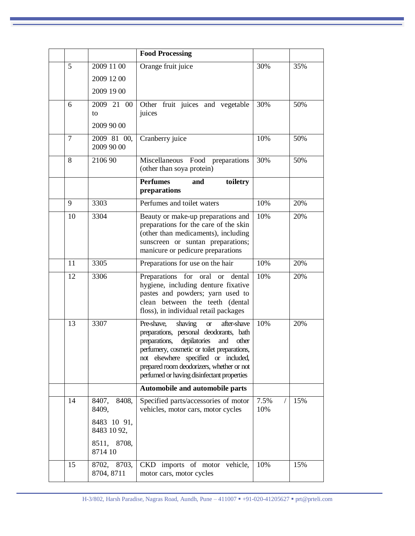|                |                                                                      | <b>Food Processing</b>                                                                                                                                                                                                                                                                                                         |                           |     |
|----------------|----------------------------------------------------------------------|--------------------------------------------------------------------------------------------------------------------------------------------------------------------------------------------------------------------------------------------------------------------------------------------------------------------------------|---------------------------|-----|
| 5              | 2009 11 00                                                           | Orange fruit juice                                                                                                                                                                                                                                                                                                             | 30%                       | 35% |
|                | 2009 12:00                                                           |                                                                                                                                                                                                                                                                                                                                |                           |     |
|                | 2009 19 00                                                           |                                                                                                                                                                                                                                                                                                                                |                           |     |
| 6              | 2009 21 00<br>to                                                     | Other fruit juices and vegetable<br>juices                                                                                                                                                                                                                                                                                     | 30%                       | 50% |
|                | 2009 90 00                                                           |                                                                                                                                                                                                                                                                                                                                |                           |     |
| $\overline{7}$ | 2009 81 00,<br>2009 90 00                                            | Cranberry juice                                                                                                                                                                                                                                                                                                                | 10%                       | 50% |
| 8              | 2106 90                                                              | Miscellaneous Food preparations<br>(other than soya protein)                                                                                                                                                                                                                                                                   | 30%                       | 50% |
|                |                                                                      | <b>Perfumes</b><br>toiletry<br>and<br>preparations                                                                                                                                                                                                                                                                             |                           |     |
| 9              | 3303                                                                 | Perfumes and toilet waters                                                                                                                                                                                                                                                                                                     | 10%                       | 20% |
| 10             | 3304                                                                 | Beauty or make-up preparations and<br>preparations for the care of the skin<br>(other than medicaments), including<br>sunscreen or suntan preparations;<br>manicure or pedicure preparations                                                                                                                                   | 10%                       | 20% |
| 11             | 3305                                                                 | Preparations for use on the hair                                                                                                                                                                                                                                                                                               | 10%                       | 20% |
| 12             | 3306                                                                 | Preparations for oral or<br>dental<br>hygiene, including denture fixative<br>pastes and powders; yarn used to<br>clean between the teeth (dental<br>floss), in individual retail packages                                                                                                                                      | 10%                       | 20% |
| 13             | 3307                                                                 | shaving<br>after-shave<br>Pre-shave,<br>$\alpha$<br>preparations, personal deodorants, bath<br>depilatories<br>preparations,<br>and<br>other<br>perfumery, cosmetic or toilet preparations,<br>not elsewhere specified or included,<br>prepared room deodorizers, whether or not<br>perfumed or having disinfectant properties | 10%                       | 20% |
|                |                                                                      | Automobile and automobile parts                                                                                                                                                                                                                                                                                                |                           |     |
| 14             | 8407,<br>8408,<br>8409,<br>8483 10 91,<br>8483 10 92,<br>8511, 8708, | Specified parts/accessories of motor<br>vehicles, motor cars, motor cycles                                                                                                                                                                                                                                                     | 7.5%<br>$\sqrt{2}$<br>10% | 15% |
|                | 8714 10                                                              |                                                                                                                                                                                                                                                                                                                                |                           |     |
| 15             | 8702, 8703,<br>8704, 8711                                            | CKD imports of motor<br>vehicle,<br>motor cars, motor cycles                                                                                                                                                                                                                                                                   | 10%                       | 15% |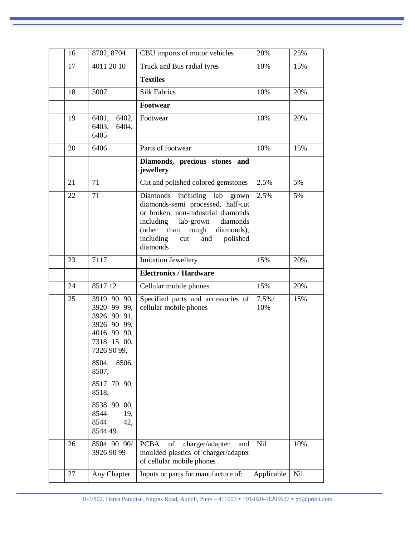| 16 | 8702, 8704                                                                                                                                                                                                      | CBU imports of motor vehicles                                                                                                                                                                                                                 | 20%          | 25% |
|----|-----------------------------------------------------------------------------------------------------------------------------------------------------------------------------------------------------------------|-----------------------------------------------------------------------------------------------------------------------------------------------------------------------------------------------------------------------------------------------|--------------|-----|
| 17 | 4011 20 10                                                                                                                                                                                                      | Truck and Bus radial tyres                                                                                                                                                                                                                    | 10%          | 15% |
|    |                                                                                                                                                                                                                 | <b>Textiles</b>                                                                                                                                                                                                                               |              |     |
| 18 | 5007                                                                                                                                                                                                            | <b>Silk Fabrics</b>                                                                                                                                                                                                                           | 10%          | 20% |
|    |                                                                                                                                                                                                                 | Footwear                                                                                                                                                                                                                                      |              |     |
| 19 | 6401,<br>6402,<br>6403,<br>6404,<br>6405                                                                                                                                                                        | Footwear                                                                                                                                                                                                                                      | 10%          | 20% |
| 20 | 6406                                                                                                                                                                                                            | Parts of footwear                                                                                                                                                                                                                             | 10%          | 15% |
|    |                                                                                                                                                                                                                 | Diamonds, precious stones and<br>jewellery                                                                                                                                                                                                    |              |     |
| 21 | 71                                                                                                                                                                                                              | Cut and polished colored gemstones                                                                                                                                                                                                            | 2.5%         | 5%  |
| 22 | 71                                                                                                                                                                                                              | <b>Diamonds</b><br>including lab<br>grown<br>diamonds-semi processed, half-cut<br>or broken; non-industrial diamonds<br>including lab-grown<br>diamonds<br>(other than rough<br>diamonds),<br>including<br>and<br>polished<br>cut<br>diamonds | 2.5%         | 5%  |
| 23 | 7117                                                                                                                                                                                                            | <b>Imitation Jewellery</b>                                                                                                                                                                                                                    | 15%          | 20% |
|    |                                                                                                                                                                                                                 |                                                                                                                                                                                                                                               |              |     |
|    |                                                                                                                                                                                                                 | <b>Electronics / Hardware</b>                                                                                                                                                                                                                 |              |     |
| 24 | 851712                                                                                                                                                                                                          | Cellular mobile phones                                                                                                                                                                                                                        | 15%          | 20% |
| 25 | 3919 90 90,<br>3920 99 99,<br>3926 90 91,<br>3926 90 99,<br>4016 99 90,<br>7318 15 00,<br>7326 90 99<br>8506,<br>8504,<br>8507,<br>8517 70 90,<br>8518,<br>8538 90 00,<br>8544<br>19,<br>8544<br>42,<br>8544 49 | Specified parts and accessories of<br>cellular mobile phones                                                                                                                                                                                  | 7.5%/<br>10% | 15% |
| 26 | 8504 90 90/<br>3926 90 99                                                                                                                                                                                       | <b>PCBA</b><br>of<br>charger/adapter<br>and<br>moulded plastics of charger/adapter<br>of cellular mobile phones                                                                                                                               | <b>Nil</b>   | 10% |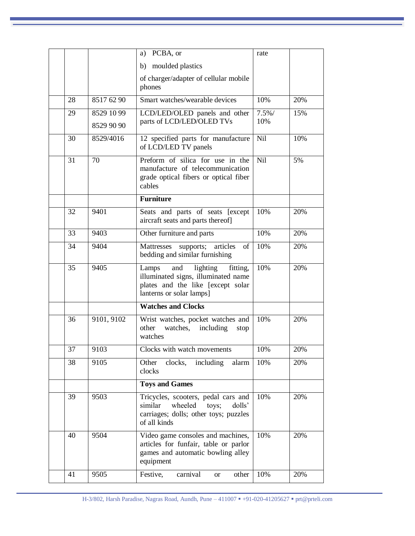|    |            | PCBA, or<br>a)                                                                                                                               | rate       |     |
|----|------------|----------------------------------------------------------------------------------------------------------------------------------------------|------------|-----|
|    |            | b) moulded plastics                                                                                                                          |            |     |
|    |            | of charger/adapter of cellular mobile<br>phones                                                                                              |            |     |
| 28 | 8517 62 90 | Smart watches/wearable devices                                                                                                               | 10%        | 20% |
| 29 | 8529 10 99 | LCD/LED/OLED panels and other                                                                                                                | 7.5%/      | 15% |
|    | 8529 90 90 | parts of LCD/LED/OLED TVs                                                                                                                    | 10%        |     |
| 30 | 8529/4016  | 12 specified parts for manufacture<br>of LCD/LED TV panels                                                                                   | <b>Nil</b> | 10% |
| 31 | 70         | Preform of silica for use in the<br>manufacture of telecommunication<br>grade optical fibers or optical fiber<br>cables                      | <b>Nil</b> | 5%  |
|    |            | <b>Furniture</b>                                                                                                                             |            |     |
| 32 | 9401       | Seats and parts of seats [except<br>aircraft seats and parts thereof]                                                                        | 10%        | 20% |
| 33 | 9403       | Other furniture and parts                                                                                                                    | 10%        | 20% |
| 34 | 9404       | Mattresses<br>of<br>supports; articles<br>bedding and similar furnishing                                                                     | 10%        | 20% |
| 35 | 9405       | lighting<br>fitting,<br>and<br>Lamps<br>illuminated signs, illuminated name<br>plates and the like [except solar<br>lanterns or solar lamps] | 10%        | 20% |
|    |            | <b>Watches and Clocks</b>                                                                                                                    |            |     |
| 36 | 9101, 9102 | Wrist watches, pocket watches and<br>other<br>watches,<br>including<br>stop<br>watches                                                       | 10%        | 20% |
| 37 | 9103       | Clocks with watch movements                                                                                                                  | 10%        | 20% |
| 38 | 9105       | including<br>Other<br>clocks,<br>alarm<br>clocks                                                                                             | 10%        | 20% |
|    |            | <b>Toys and Games</b>                                                                                                                        |            |     |
| 39 | 9503       | Tricycles, scooters, pedal cars and<br>similar<br>wheeled<br>toys;<br>dolls'<br>carriages; dolls; other toys; puzzles<br>of all kinds        | 10%        | 20% |
| 40 | 9504       | Video game consoles and machines,<br>articles for funfair, table or parlor<br>games and automatic bowling alley<br>equipment                 | 10%        | 20% |
| 41 | 9505       | Festive,<br>carnival<br>other<br><b>or</b>                                                                                                   | 10%        | 20% |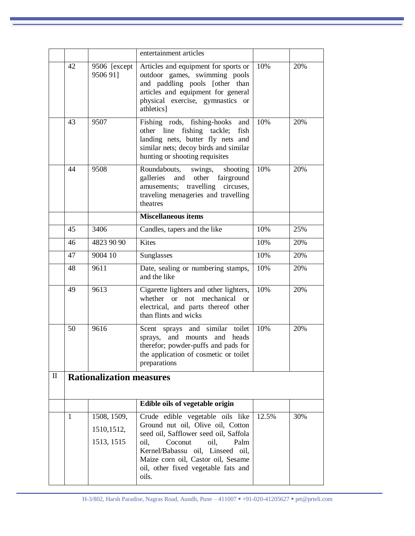|              |                                 |                                          | entertainment articles                                                                                                                                                                                                                                                      |       |     |
|--------------|---------------------------------|------------------------------------------|-----------------------------------------------------------------------------------------------------------------------------------------------------------------------------------------------------------------------------------------------------------------------------|-------|-----|
|              | 42                              | 9506 [except]<br>9506 911                | Articles and equipment for sports or<br>outdoor games, swimming pools<br>and paddling pools [other than<br>articles and equipment for general<br>physical exercise, gymnastics or<br>athletics]                                                                             | 10%   | 20% |
|              | 43                              | 9507                                     | Fishing rods, fishing-hooks<br>and<br>other line fishing tackle;<br>fish<br>landing nets, butter fly nets and<br>similar nets; decoy birds and similar<br>hunting or shooting requisites                                                                                    | 10%   | 20% |
|              | 44                              | 9508                                     | Roundabouts,<br>swings,<br>shooting<br>galleries and other<br>fairground<br>travelling<br>circuses,<br>amusements;<br>traveling menageries and travelling<br>theatres                                                                                                       | 10%   | 20% |
|              |                                 |                                          | <b>Miscellaneous items</b>                                                                                                                                                                                                                                                  |       |     |
|              | 45                              | 3406                                     | Candles, tapers and the like                                                                                                                                                                                                                                                | 10%   | 25% |
|              | 46                              | 4823 90 90                               | <b>Kites</b>                                                                                                                                                                                                                                                                | 10%   | 20% |
|              | 47                              | 9004 10                                  | Sunglasses                                                                                                                                                                                                                                                                  | 10%   | 20% |
|              | 48                              | 9611                                     | Date, sealing or numbering stamps,<br>and the like                                                                                                                                                                                                                          | 10%   | 20% |
|              | 49                              | 9613                                     | Cigarette lighters and other lighters,<br>whether or not mechanical<br>$\alpha$<br>electrical, and parts thereof other<br>than flints and wicks                                                                                                                             | 10%   | 20% |
|              | 50                              | 9616                                     | Scent sprays and similar<br>toilet<br>and mounts<br>and<br>heads<br>sprays,<br>therefor; powder-puffs and pads for<br>the application of cosmetic or toilet<br>preparations                                                                                                 | 10%   | 20% |
| $\mathbf{I}$ | <b>Rationalization measures</b> |                                          |                                                                                                                                                                                                                                                                             |       |     |
|              |                                 |                                          | Edible oils of vegetable origin                                                                                                                                                                                                                                             |       |     |
|              | 1                               | 1508, 1509,<br>1510, 1512,<br>1513, 1515 | Crude edible vegetable oils like<br>Ground nut oil, Olive oil, Cotton<br>seed oil, Safflower seed oil, Saffola<br>oil,<br>Coconut<br>oil,<br>Palm<br>Kernel/Babassu oil, Linseed oil,<br>Maize corn oil, Castor oil, Sesame<br>oil, other fixed vegetable fats and<br>oils. | 12.5% | 30% |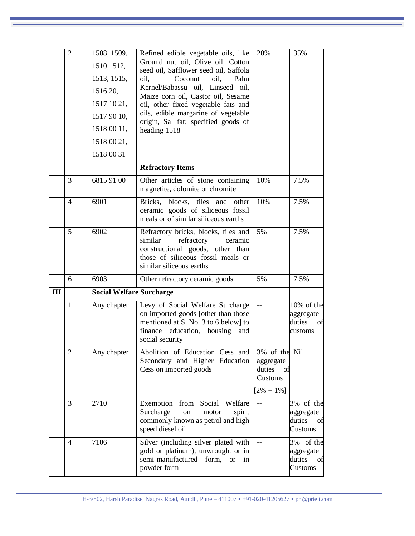|     | $\overline{2}$ | 1508, 1509,<br>1510, 1512,<br>1513, 1515,<br>1516 20,<br>1517 10 21,<br>1517 90 10,<br>1518 00 11,<br>1518 00 21,<br>1518 00 31 | Refined edible vegetable oils, like<br>Ground nut oil, Olive oil, Cotton<br>seed oil, Safflower seed oil, Saffola<br>oil,<br>Coconut<br>oil,<br>Palm<br>Kernel/Babassu oil, Linseed oil,<br>Maize corn oil, Castor oil, Sesame<br>oil, other fixed vegetable fats and<br>oils, edible margarine of vegetable<br>origin, Sal fat; specified goods of<br>heading 1518 | 20%                                                                    | 35%                                                |
|-----|----------------|---------------------------------------------------------------------------------------------------------------------------------|---------------------------------------------------------------------------------------------------------------------------------------------------------------------------------------------------------------------------------------------------------------------------------------------------------------------------------------------------------------------|------------------------------------------------------------------------|----------------------------------------------------|
|     |                |                                                                                                                                 | <b>Refractory Items</b>                                                                                                                                                                                                                                                                                                                                             |                                                                        |                                                    |
|     | 3              | 6815 91 00                                                                                                                      | Other articles of stone containing<br>magnetite, dolomite or chromite                                                                                                                                                                                                                                                                                               | 10%                                                                    | 7.5%                                               |
|     | $\overline{4}$ | 6901                                                                                                                            | blocks, tiles<br>Bricks.<br>and<br>other<br>ceramic goods of siliceous fossil<br>meals or of similar siliceous earths                                                                                                                                                                                                                                               | 10%                                                                    | 7.5%                                               |
|     | 5              | 6902                                                                                                                            | Refractory bricks, blocks, tiles and<br>refractory<br>similar<br>ceramic<br>constructional goods, other than<br>those of siliceous fossil meals or<br>similar siliceous earths                                                                                                                                                                                      | 5%                                                                     | 7.5%                                               |
|     | 6              | 6903                                                                                                                            | Other refractory ceramic goods                                                                                                                                                                                                                                                                                                                                      | 5%                                                                     | 7.5%                                               |
| III |                | <b>Social Welfare Surcharge</b>                                                                                                 |                                                                                                                                                                                                                                                                                                                                                                     |                                                                        |                                                    |
|     | $\mathbf{1}$   | Any chapter                                                                                                                     | Levy of Social Welfare Surcharge<br>on imported goods [other than those<br>mentioned at S. No. 3 to 6 below] to<br>finance education, housing<br>and<br>social security                                                                                                                                                                                             | $-$                                                                    | 10% of the<br>aggregate<br>duties<br>of<br>customs |
|     | 2              | Any chapter                                                                                                                     | Abolition of Education Cess and<br>Secondary and Higher Education<br>Cess on imported goods                                                                                                                                                                                                                                                                         | 3% of the Nil<br>aggregate<br>duties<br>of<br>Customs<br>$[2\% + 1\%]$ |                                                    |
|     | 3              | 2710                                                                                                                            | Exemption from Social Welfare<br>Surcharge<br>spirit<br>on<br>motor<br>commonly known as petrol and high<br>speed diesel oil                                                                                                                                                                                                                                        |                                                                        | 3% of the<br>aggregate<br>duties<br>of<br>Customs  |
|     | $\overline{4}$ | 7106                                                                                                                            | Silver (including silver plated with<br>gold or platinum), unwrought or in<br>semi-manufactured<br>form,<br><b>or</b><br>in<br>powder form                                                                                                                                                                                                                          |                                                                        | 3% of the<br>aggregate<br>duties<br>of<br>Customs  |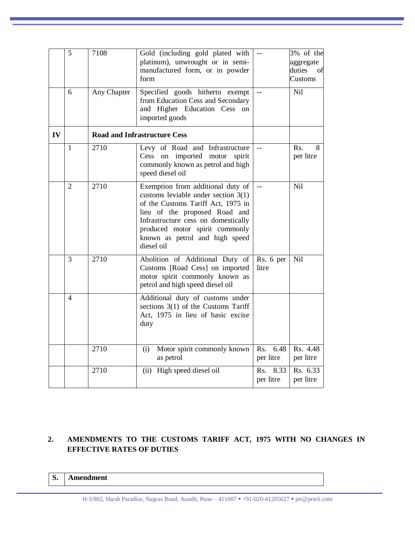|    | $\overline{5}$ | 7108        | Gold (including gold plated with<br>platinum), unwrought or in semi-<br>manufactured form, or in powder<br>form                                                                                                                                                            | $-$                      | 3% of the<br>aggregate<br>duties<br>of<br>Customs |
|----|----------------|-------------|----------------------------------------------------------------------------------------------------------------------------------------------------------------------------------------------------------------------------------------------------------------------------|--------------------------|---------------------------------------------------|
|    | 6              | Any Chapter | Specified goods hitherto exempt<br>from Education Cess and Secondary<br>and Higher Education Cess<br>on<br>imported goods                                                                                                                                                  | $\overline{\phantom{a}}$ | Nil                                               |
| IV |                |             | <b>Road and Infrastructure Cess</b>                                                                                                                                                                                                                                        |                          |                                                   |
|    | 1              | 2710        | Levy of Road and Infrastructure<br>Cess on imported motor<br>spirit<br>commonly known as petrol and high<br>speed diesel oil                                                                                                                                               |                          | Rs.<br>8<br>per litre                             |
|    | $\overline{2}$ | 2710        | Exemption from additional duty of<br>customs leviable under section $3(1)$<br>of the Customs Tariff Act, 1975 in<br>lieu of the proposed Road and<br>Infrastructure cess on domestically<br>produced motor spirit commonly<br>known as petrol and high speed<br>diesel oil | $\overline{a}$           | Nil                                               |
|    | 3              | 2710        | Abolition of Additional Duty of<br>Customs [Road Cess] on imported<br>motor spirit commonly known as<br>petrol and high speed diesel oil                                                                                                                                   | Rs. 6 per<br>litre       | Nil                                               |
|    | 4              |             | Additional duty of customs under<br>sections $3(1)$ of the Customs Tariff<br>Act, 1975 in lieu of basic excise<br>duty                                                                                                                                                     |                          |                                                   |
|    |                | 2710        | (i)<br>Motor spirit commonly known<br>as petrol                                                                                                                                                                                                                            | 6.48<br>Rs.<br>per litre | Rs. 4.48<br>per litre                             |
|    |                | 2710        | (ii) High speed diesel oil                                                                                                                                                                                                                                                 | 8.33<br>Rs.<br>per litre | Rs. 6.33<br>per litre                             |

## **2. AMENDMENTS TO THE CUSTOMS TARIFF ACT, 1975 WITH NO CHANGES IN EFFECTIVE RATES OF DUTIES**

**S. Amendment**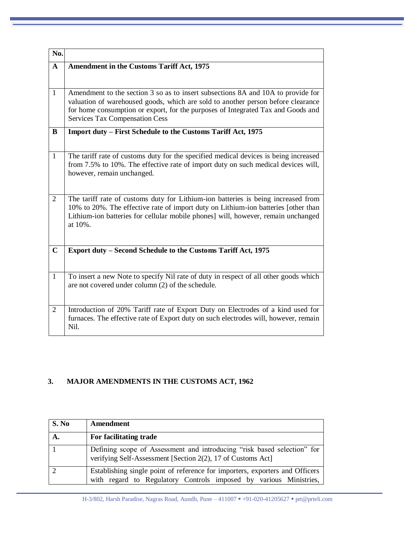| No.            |                                                                                                                                                                                                                                                                                                   |
|----------------|---------------------------------------------------------------------------------------------------------------------------------------------------------------------------------------------------------------------------------------------------------------------------------------------------|
| $\mathbf{A}$   | <b>Amendment in the Customs Tariff Act, 1975</b>                                                                                                                                                                                                                                                  |
| $\mathbf{1}$   | Amendment to the section 3 so as to insert subsections 8A and 10A to provide for<br>valuation of warehoused goods, which are sold to another person before clearance<br>for home consumption or export, for the purposes of Integrated Tax and Goods and<br><b>Services Tax Compensation Cess</b> |
| B              | Import duty – First Schedule to the Customs Tariff Act, 1975                                                                                                                                                                                                                                      |
| $\mathbf{1}$   | The tariff rate of customs duty for the specified medical devices is being increased<br>from 7.5% to 10%. The effective rate of import duty on such medical devices will,<br>however, remain unchanged.                                                                                           |
| 2              | The tariff rate of customs duty for Lithium-ion batteries is being increased from<br>10% to 20%. The effective rate of import duty on Lithium-ion batteries [other than<br>Lithium-ion batteries for cellular mobile phones] will, however, remain unchanged<br>at 10%.                           |
| $\mathbf C$    | Export duty - Second Schedule to the Customs Tariff Act, 1975                                                                                                                                                                                                                                     |
| $\mathbf{1}$   | To insert a new Note to specify Nil rate of duty in respect of all other goods which<br>are not covered under column (2) of the schedule.                                                                                                                                                         |
| $\overline{2}$ | Introduction of 20% Tariff rate of Export Duty on Electrodes of a kind used for<br>furnaces. The effective rate of Export duty on such electrodes will, however, remain<br>Nil.                                                                                                                   |

## **3. MAJOR AMENDMENTS IN THE CUSTOMS ACT, 1962**

| S. No | Amendment                                                                                                                                         |  |
|-------|---------------------------------------------------------------------------------------------------------------------------------------------------|--|
| A.    | For facilitating trade                                                                                                                            |  |
|       | Defining scope of Assessment and introducing "risk based selection" for<br>verifying Self-Assessment [Section 2(2), 17 of Customs Act]            |  |
|       | Establishing single point of reference for importers, exporters and Officers<br>with regard to Regulatory Controls imposed by various Ministries, |  |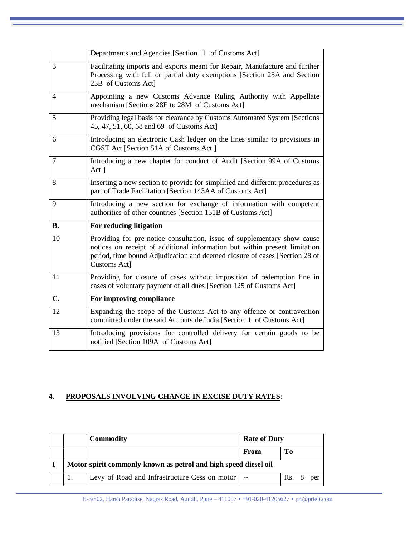|                | Departments and Agencies [Section 11 of Customs Act]                                                                                                                                                                                                 |
|----------------|------------------------------------------------------------------------------------------------------------------------------------------------------------------------------------------------------------------------------------------------------|
| 3              | Facilitating imports and exports meant for Repair, Manufacture and further<br>Processing with full or partial duty exemptions [Section 25A and Section<br>25B of Customs Act]                                                                        |
| 4              | Appointing a new Customs Advance Ruling Authority with Appellate<br>mechanism [Sections 28E to 28M of Customs Act]                                                                                                                                   |
| 5              | Providing legal basis for clearance by Customs Automated System [Sections]<br>45, 47, 51, 60, 68 and 69 of Customs Act]                                                                                                                              |
| 6              | Introducing an electronic Cash ledger on the lines similar to provisions in<br>CGST Act [Section 51A of Customs Act]                                                                                                                                 |
| $\overline{7}$ | Introducing a new chapter for conduct of Audit [Section 99A of Customs<br>$Act$ ]                                                                                                                                                                    |
| 8              | Inserting a new section to provide for simplified and different procedures as<br>part of Trade Facilitation [Section 143AA of Customs Act]                                                                                                           |
| 9              | Introducing a new section for exchange of information with competent<br>authorities of other countries [Section 151B of Customs Act]                                                                                                                 |
| <b>B.</b>      | For reducing litigation                                                                                                                                                                                                                              |
| 10             | Providing for pre-notice consultation, issue of supplementary show cause<br>notices on receipt of additional information but within present limitation<br>period, time bound Adjudication and deemed closure of cases [Section 28 of<br>Customs Act] |
| 11             | Providing for closure of cases without imposition of redemption fine in<br>cases of voluntary payment of all dues [Section 125 of Customs Act]                                                                                                       |
| C.             | For improving compliance                                                                                                                                                                                                                             |
| 12             | Expanding the scope of the Customs Act to any offence or contravention<br>committed under the said Act outside India [Section 1 of Customs Act]                                                                                                      |
| 13             | Introducing provisions for controlled delivery for certain goods to be                                                                                                                                                                               |

## **4. PROPOSALS INVOLVING CHANGE IN EXCISE DUTY RATES:**

|                                                                 | <b>Commodity</b>                              | <b>Rate of Duty</b> |       |     |  |
|-----------------------------------------------------------------|-----------------------------------------------|---------------------|-------|-----|--|
|                                                                 |                                               | From                | To    |     |  |
| Motor spirit commonly known as petrol and high speed diesel oil |                                               |                     |       |     |  |
|                                                                 | Levy of Road and Infrastructure Cess on motor |                     | Rs. 8 | per |  |

H-3/802, Harsh Paradise, Nagras Road, Aundh, Pune - 411007 · +91-020-41205627 · prt@prteli.com